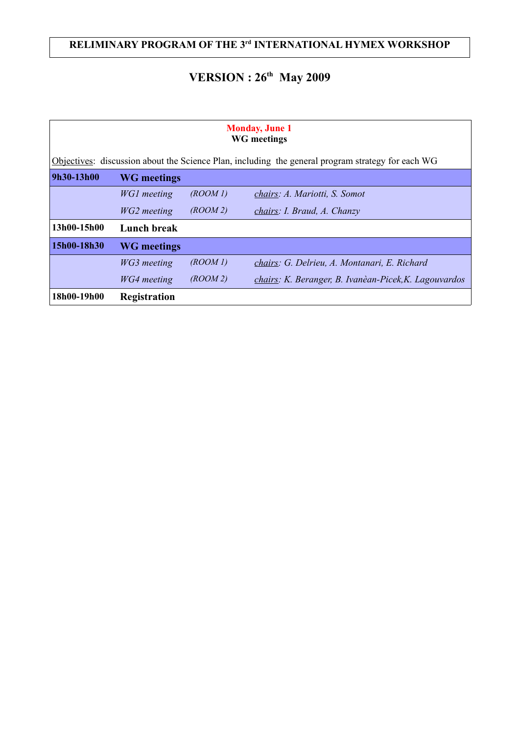## **RELIMINARY PROGRAM OF THE 3rd INTERNATIONAL HYMEX WORKSHOP**

# **VERSION : 26th May 2009**

| <b>Monday, June 1</b><br><b>WG</b> meetings<br>Objectives: discussion about the Science Plan, including the general program strategy for each WG |                    |         |                                                       |  |  |  |  |
|--------------------------------------------------------------------------------------------------------------------------------------------------|--------------------|---------|-------------------------------------------------------|--|--|--|--|
| 9h30-13h00                                                                                                                                       | <b>WG</b> meetings |         |                                                       |  |  |  |  |
|                                                                                                                                                  | WG1 meeting        | (ROM I) | chairs: A. Mariotti, S. Somot                         |  |  |  |  |
|                                                                                                                                                  | WG2 meeting        | (ROM 2) | chairs: I. Braud, A. Chanzy                           |  |  |  |  |
| 13h00-15h00                                                                                                                                      | <b>Lunch break</b> |         |                                                       |  |  |  |  |
| 15h00-18h30                                                                                                                                      | <b>WG</b> meetings |         |                                                       |  |  |  |  |
|                                                                                                                                                  | WG3 meeting        | (ROM I) | chairs: G. Delrieu, A. Montanari, E. Richard          |  |  |  |  |
|                                                                                                                                                  | WG4 meeting        | (ROM 2) | chairs: K. Beranger, B. Ivanèan-Picek, K. Lagouvardos |  |  |  |  |
| 18h00-19h00                                                                                                                                      | Registration       |         |                                                       |  |  |  |  |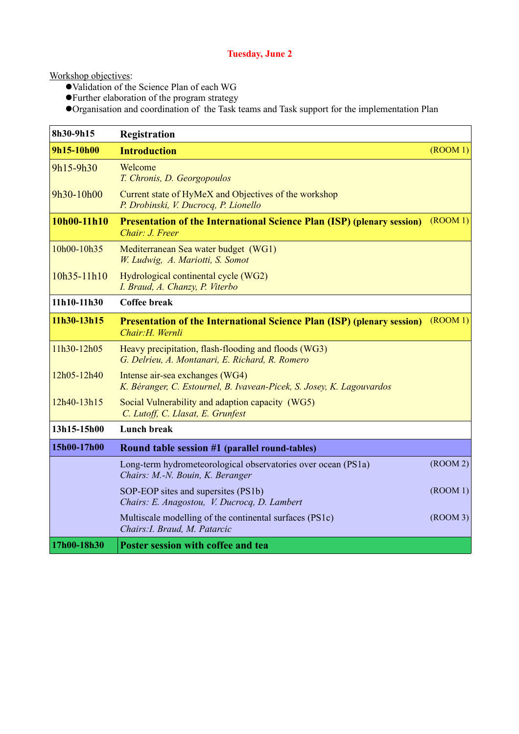#### **Tuesday, June 2**

Workshop objectives:

- Validation of the Science Plan of each WG
- Further elaboration of the program strategy
- Organisation and coordination of the Task teams and Task support for the implementation Plan

| 8h30-9h15   | Registration                                                                                             |                      |
|-------------|----------------------------------------------------------------------------------------------------------|----------------------|
| 9h15-10h00  | <b>Introduction</b>                                                                                      | (ROOM 1)             |
| 9h15-9h30   | Welcome<br>T. Chronis, D. Georgopoulos                                                                   |                      |
| 9h30-10h00  | Current state of HyMeX and Objectives of the workshop<br>P. Drobinski, V. Ducrocq, P. Lionello           |                      |
| 10h00-11h10 | <b>Presentation of the International Science Plan (ISP) (plenary session)</b><br>Chair: J. Freer         | $($ ROOM $1)$        |
| 10h00-10h35 | Mediterranean Sea water budget (WG1)<br>W. Ludwig, A. Mariotti, S. Somot                                 |                      |
| 10h35-11h10 | Hydrological continental cycle (WG2)<br>I. Braud, A. Chanzy, P. Viterbo                                  |                      |
| 11h10-11h30 | <b>Coffee break</b>                                                                                      |                      |
| 11h30-13h15 | <b>Presentation of the International Science Plan (ISP) (plenary session)</b><br>Chair: H. Wernli        | (ROOM 1)             |
| 11h30-12h05 | Heavy precipitation, flash-flooding and floods (WG3)<br>G. Delrieu, A. Montanari, E. Richard, R. Romero  |                      |
| 12h05-12h40 | Intense air-sea exchanges (WG4)<br>K. Béranger, C. Estournel, B. Ivavean-Picek, S. Josey, K. Lagouvardos |                      |
| 12h40-13h15 | Social Vulnerability and adaption capacity (WG5)<br>C. Lutoff, C. Llasat, E. Grunfest                    |                      |
| 13h15-15h00 | <b>Lunch break</b>                                                                                       |                      |
| 15h00-17h00 | Round table session #1 (parallel round-tables)                                                           |                      |
|             | Long-term hydrometeorological observatories over ocean (PS1a)<br>Chairs: M.-N. Bouin, K. Beranger        | $($ ROOM $2)$        |
|             | SOP-EOP sites and supersites (PS1b)<br>Chairs: E. Anagostou, V. Ducrocq, D. Lambert                      | $($ <i>ROOM</i> $1)$ |
|             | Multiscale modelling of the continental surfaces (PS1c)<br>Chairs: I. Braud, M. Patarcic                 | $($ ROOM 3 $)$       |
| 17h00-18h30 | Poster session with coffee and tea                                                                       |                      |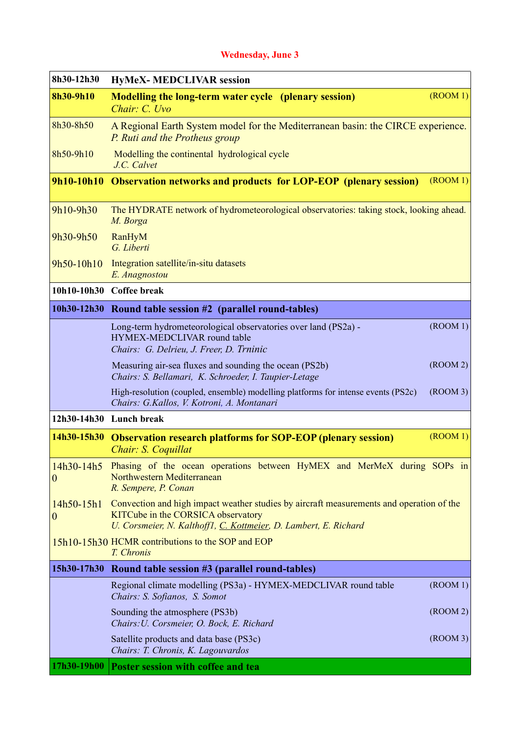#### **Wednesday, June 3**

| 8h30-12h30               | <b>HyMeX- MEDCLIVAR session</b>                                                                                                                                                                    |                      |
|--------------------------|----------------------------------------------------------------------------------------------------------------------------------------------------------------------------------------------------|----------------------|
| 8h30-9h10                | <b>Modelling the long-term water cycle (plenary session)</b><br>Chair: C. Uvo                                                                                                                      | $($ ROOM 1 $)$       |
| 8h30-8h50                | A Regional Earth System model for the Mediterranean basin: the CIRCE experience.<br>P. Ruti and the Protheus group                                                                                 |                      |
| 8h50-9h10                | Modelling the continental hydrological cycle<br>J.C. Calvet                                                                                                                                        |                      |
|                          | 9h10-10h10 Observation networks and products for LOP-EOP (plenary session)                                                                                                                         | $($ ROOM $1)$        |
| 9h10-9h30                | The HYDRATE network of hydrometeorological observatories: taking stock, looking ahead.<br>M. Borga                                                                                                 |                      |
| 9h30-9h50                | RanHyM<br>G. Liberti                                                                                                                                                                               |                      |
| 9h50-10h10               | Integration satellite/in-situ datasets<br>E. Anagnostou                                                                                                                                            |                      |
|                          | 10h10-10h30 Coffee break                                                                                                                                                                           |                      |
|                          | 10h30-12h30 Round table session #2 (parallel round-tables)                                                                                                                                         |                      |
|                          | Long-term hydrometeorological observatories over land (PS2a) -<br>HYMEX-MEDCLIVAR round table<br>Chairs: G. Delrieu, J. Freer, D. Trninic                                                          | $($ ROOM 1 $)$       |
|                          | Measuring air-sea fluxes and sounding the ocean (PS2b)<br>Chairs: S. Bellamari, K. Schroeder, I. Taupier-Letage                                                                                    | $($ ROOM 2 $)$       |
|                          | High-resolution (coupled, ensemble) modelling platforms for intense events (PS2c)<br>Chairs: G.Kallos, V. Kotroni, A. Montanari                                                                    | $($ ROOM 3 $)$       |
|                          | 12h30-14h30 Lunch break                                                                                                                                                                            |                      |
|                          | 14h30-15h30 Observation research platforms for SOP-EOP (plenary session)<br>Chair: S. Coquillat                                                                                                    | $($ <i>ROOM</i> $1)$ |
| $\boldsymbol{0}$         | 14h30-14h5 Phasing of the ocean operations between HyMEX and MerMeX during SOPs in<br>Northwestern Mediterranean<br>R. Sempere, P. Conan                                                           |                      |
| $14h50-15h1$<br>$\theta$ | Convection and high impact weather studies by aircraft measurements and operation of the<br>KITCube in the CORSICA observatory<br>U. Corsmeier, N. Kalthoff1, C. Kottmeier, D. Lambert, E. Richard |                      |
|                          | 15h10-15h30 HCMR contributions to the SOP and EOP<br>T. Chronis                                                                                                                                    |                      |
| 15h30-17h30              | Round table session #3 (parallel round-tables)                                                                                                                                                     |                      |
|                          | Regional climate modelling (PS3a) - HYMEX-MEDCLIVAR round table<br>Chairs: S. Sofianos, S. Somot                                                                                                   | (ROOM 1)             |
|                          | Sounding the atmosphere (PS3b)<br>Chairs: U. Corsmeier, O. Bock, E. Richard                                                                                                                        | $($ ROOM 2 $)$       |
|                          | Satellite products and data base (PS3c)<br>Chairs: T. Chronis, K. Lagouvardos                                                                                                                      | $($ ROOM 3 $)$       |
| 17h30-19h00              | Poster session with coffee and tea                                                                                                                                                                 |                      |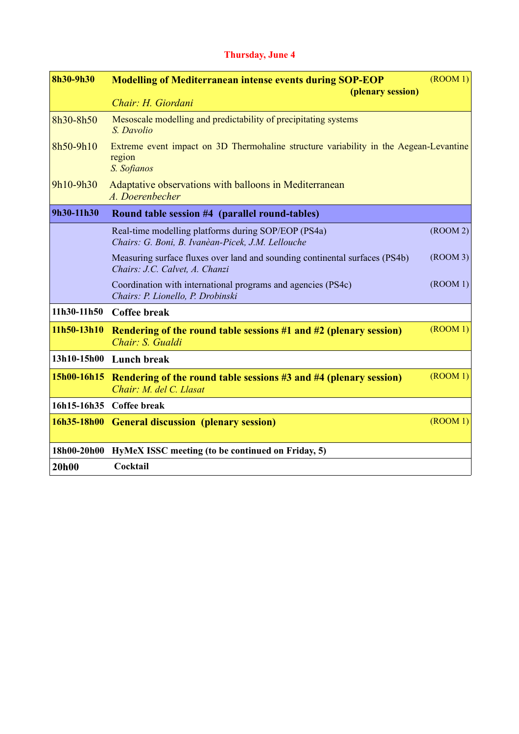### **Thursday, June 4**

| 8h30-9h30   | <b>Modelling of Mediterranean intense events during SOP-EOP</b><br>(plenary session)                           | $($ <i>ROOM</i> 1 $)$ |
|-------------|----------------------------------------------------------------------------------------------------------------|-----------------------|
|             | Chair: H. Giordani                                                                                             |                       |
| 8h30-8h50   | Mesoscale modelling and predictability of precipitating systems<br>S. Davolio                                  |                       |
| 8h50-9h10   | Extreme event impact on 3D Thermohaline structure variability in the Aegean-Levantine<br>region<br>S. Sofianos |                       |
| 9h10-9h30   | Adaptative observations with balloons in Mediterranean<br>A. Doerenbecher                                      |                       |
| 9h30-11h30  | Round table session #4 (parallel round-tables)                                                                 |                       |
|             | Real-time modelling platforms during SOP/EOP (PS4a)<br>Chairs: G. Boni, B. Ivanèan-Picek, J.M. Lellouche       | $($ ROOM $2)$         |
|             | Measuring surface fluxes over land and sounding continental surfaces (PS4b)<br>Chairs: J.C. Calvet, A. Chanzi  | $($ ROOM $3)$         |
|             | Coordination with international programs and agencies (PS4c)<br>Chairs: P. Lionello, P. Drobinski              | (ROOM 1)              |
| 11h30-11h50 | <b>Coffee break</b>                                                                                            |                       |
| 11h50-13h10 | Rendering of the round table sessions #1 and #2 (plenary session)<br>Chair: S. Gualdi                          | (ROOM 1)              |
| 13h10-15h00 | Lunch break                                                                                                    |                       |
| 15h00-16h15 | Rendering of the round table sessions #3 and #4 (plenary session)<br>Chair: M. del C. Llasat                   | $($ ROOM $1)$         |
|             | 16h15-16h35 Coffee break                                                                                       |                       |
| 16h35-18h00 | <b>General discussion (plenary session)</b>                                                                    | $($ ROOM $1)$         |
| 18h00-20h00 | HyMeX ISSC meeting (to be continued on Friday, 5)                                                              |                       |
| 20h00       | Cocktail                                                                                                       |                       |